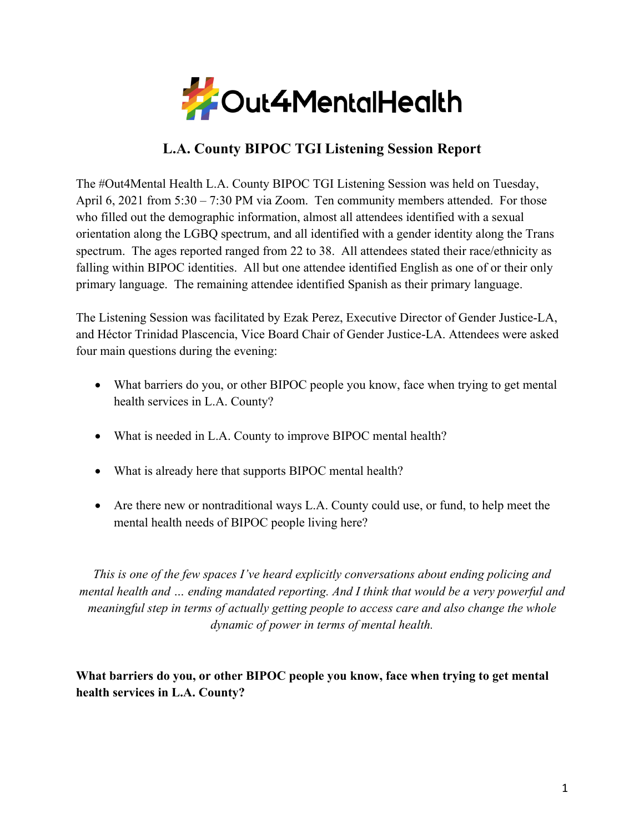

# **L.A. County BIPOC TGI Listening Session Report**

The #Out4Mental Health L.A. County BIPOC TGI Listening Session was held on Tuesday, April 6, 2021 from 5:30 – 7:30 PM via Zoom. Ten community members attended. For those who filled out the demographic information, almost all attendees identified with a sexual orientation along the LGBQ spectrum, and all identified with a gender identity along the Trans spectrum. The ages reported ranged from 22 to 38. All attendees stated their race/ethnicity as falling within BIPOC identities. All but one attendee identified English as one of or their only primary language. The remaining attendee identified Spanish as their primary language.

The Listening Session was facilitated by Ezak Perez, Executive Director of Gender Justice-LA, and Héctor Trinidad Plascencia, Vice Board Chair of Gender Justice-LA. Attendees were asked four main questions during the evening:

- What barriers do you, or other BIPOC people you know, face when trying to get mental health services in L.A. County?
- What is needed in L.A. County to improve BIPOC mental health?
- What is already here that supports BIPOC mental health?
- Are there new or nontraditional ways L.A. County could use, or fund, to help meet the mental health needs of BIPOC people living here?

*This is one of the few spaces I've heard explicitly conversations about ending policing and mental health and … ending mandated reporting. And I think that would be a very powerful and meaningful step in terms of actually getting people to access care and also change the whole dynamic of power in terms of mental health.*

**What barriers do you, or other BIPOC people you know, face when trying to get mental health services in L.A. County?**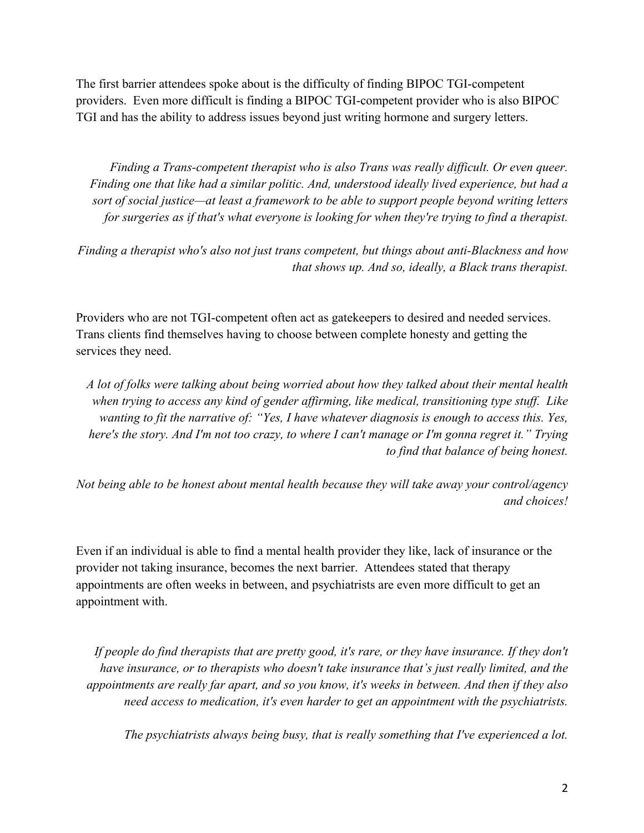The first barrier attendees spoke about is the difficulty of finding BIPOC TGI-competent providers. Even more difficult is finding a BIPOC TGI-competent provider who is also BIPOC TGI and has the ability to address issues beyond just writing hormone and surgery letters.

*Finding a Trans-competent therapist who is also Trans was really difficult. Or even queer. Finding one that like had a similar politic. And, understood ideally lived experience, but had a sort of social justice—at least a framework to be able to support people beyond writing letters for surgeries as if that's what everyone is looking for when they're trying to find a therapist.*

*Finding a therapist who's also not just trans competent, but things about anti-Blackness and how that shows up. And so, ideally, a Black trans therapist.*

Providers who are not TGI-competent often act as gatekeepers to desired and needed services. Trans clients find themselves having to choose between complete honesty and getting the services they need.

*A lot of folks were talking about being worried about how they talked about their mental health when trying to access any kind of gender affirming, like medical, transitioning type stuff. Like wanting to fit the narrative of: "Yes, I have whatever diagnosis is enough to access this. Yes, here's the story. And I'm not too crazy, to where I can't manage or I'm gonna regret it." Trying to find that balance of being honest.*

*Not being able to be honest about mental health because they will take away your control/agency and choices!*

Even if an individual is able to find a mental health provider they like, lack of insurance or the provider not taking insurance, becomes the next barrier. Attendees stated that therapy appointments are often weeks in between, and psychiatrists are even more difficult to get an appointment with.

*If people do find therapists that are pretty good, it's rare, or they have insurance. If they don't have insurance, or to therapists who doesn't take insurance that's just really limited, and the appointments are really far apart, and so you know, it's weeks in between. And then if they also need access to medication, it's even harder to get an appointment with the psychiatrists.*

*The psychiatrists always being busy, that is really something that I've experienced a lot.*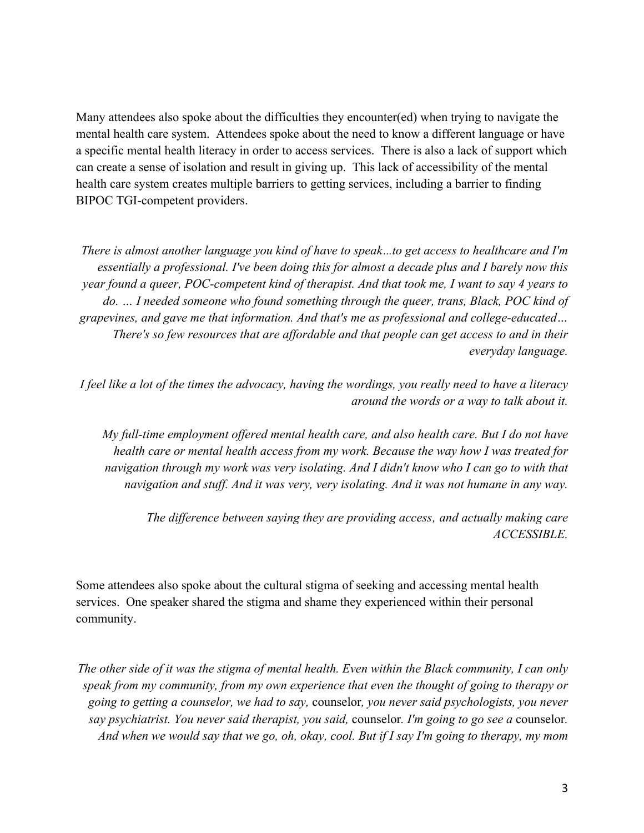Many attendees also spoke about the difficulties they encounter(ed) when trying to navigate the mental health care system. Attendees spoke about the need to know a different language or have a specific mental health literacy in order to access services. There is also a lack of support which can create a sense of isolation and result in giving up. This lack of accessibility of the mental health care system creates multiple barriers to getting services, including a barrier to finding BIPOC TGI-competent providers.

*There is almost another language you kind of have to speak…to get access to healthcare and I'm essentially a professional. I've been doing this for almost a decade plus and I barely now this year found a queer, POC-competent kind of therapist. And that took me, I want to say 4 years to do. … I needed someone who found something through the queer, trans, Black, POC kind of grapevines, and gave me that information. And that's me as professional and college-educated… There's so few resources that are affordable and that people can get access to and in their everyday language.* 

*I feel like a lot of the times the advocacy, having the wordings, you really need to have a literacy around the words or a way to talk about it.*

*My full-time employment offered mental health care, and also health care. But I do not have health care or mental health access from my work. Because the way how I was treated for navigation through my work was very isolating. And I didn't know who I can go to with that navigation and stuff. And it was very, very isolating. And it was not humane in any way.*

The difference between saying they are providing access, and actually making care *ACCESSIBLE.*

Some attendees also spoke about the cultural stigma of seeking and accessing mental health services. One speaker shared the stigma and shame they experienced within their personal community.

*The other side of it was the stigma of mental health. Even within the Black community, I can only speak from my community, from my own experience that even the thought of going to therapy or going to getting a counselor, we had to say,* counselor*, you never said psychologists, you never say psychiatrist. You never said therapist, you said,* counselor*. I'm going to go see a* counselor*. And when we would say that we go, oh, okay, cool. But if I say I'm going to therapy, my mom*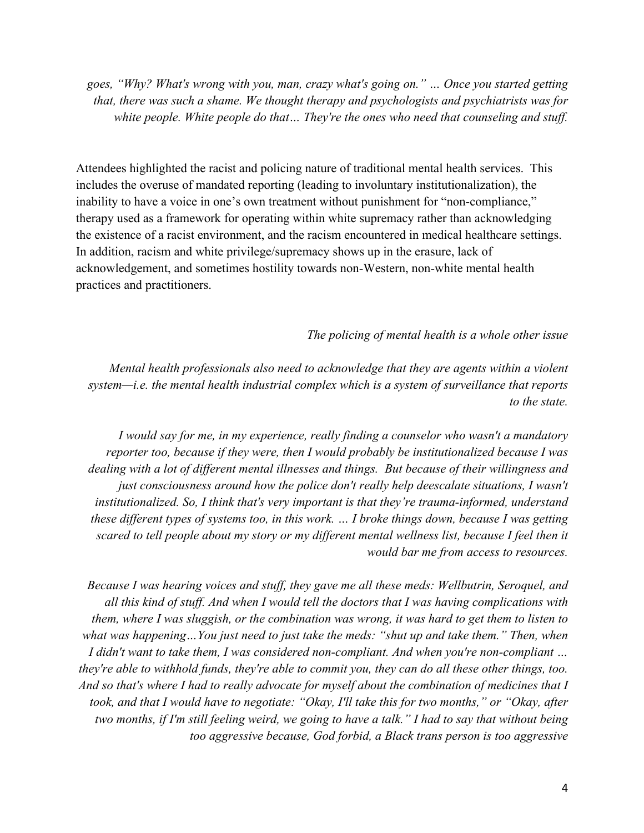*goes, "Why? What's wrong with you, man, crazy what's going on." … Once you started getting that, there was such a shame. We thought therapy and psychologists and psychiatrists was for white people. White people do that… They're the ones who need that counseling and stuff.*

Attendees highlighted the racist and policing nature of traditional mental health services. This includes the overuse of mandated reporting (leading to involuntary institutionalization), the inability to have a voice in one's own treatment without punishment for "non-compliance," therapy used as a framework for operating within white supremacy rather than acknowledging the existence of a racist environment, and the racism encountered in medical healthcare settings. In addition, racism and white privilege/supremacy shows up in the erasure, lack of acknowledgement, and sometimes hostility towards non-Western, non-white mental health practices and practitioners.

#### *The policing of mental health is a whole other issue*

*Mental health professionals also need to acknowledge that they are agents within a violent system—i.e. the mental health industrial complex which is a system of surveillance that reports to the state.*

*I would say for me, in my experience, really finding a counselor who wasn't a mandatory reporter too, because if they were, then I would probably be institutionalized because I was dealing with a lot of different mental illnesses and things. But because of their willingness and just consciousness around how the police don't really help deescalate situations, I wasn't institutionalized. So, I think that's very important is that they're trauma-informed, understand these different types of systems too, in this work. … I broke things down, because I was getting scared to tell people about my story or my different mental wellness list, because I feel then it would bar me from access to resources.* 

*Because I was hearing voices and stuff, they gave me all these meds: Wellbutrin, Seroquel, and all this kind of stuff. And when I would tell the doctors that I was having complications with them, where I was sluggish, or the combination was wrong, it was hard to get them to listen to what was happening…You just need to just take the meds: "shut up and take them." Then, when I didn't want to take them, I was considered non-compliant. And when you're non-compliant … they're able to withhold funds, they're able to commit you, they can do all these other things, too. And so that's where I had to really advocate for myself about the combination of medicines that I took, and that I would have to negotiate: "Okay, I'll take this for two months," or "Okay, after two months, if I'm still feeling weird, we going to have a talk." I had to say that without being too aggressive because, God forbid, a Black trans person is too aggressive*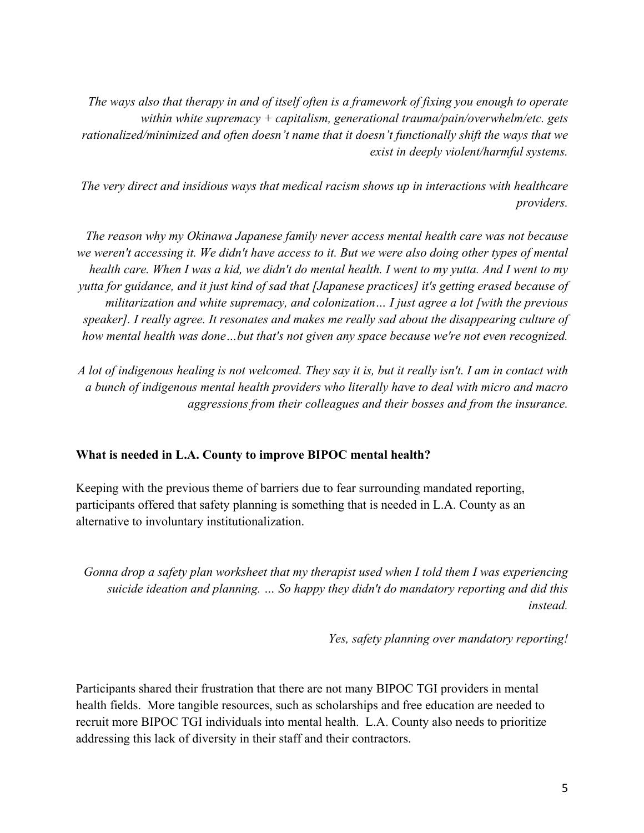*The ways also that therapy in and of itself often is a framework of fixing you enough to operate within white supremacy + capitalism, generational trauma/pain/overwhelm/etc. gets rationalized/minimized and often doesn't name that it doesn't functionally shift the ways that we exist in deeply violent/harmful systems.*

*The very direct and insidious ways that medical racism shows up in interactions with healthcare providers.*

*The reason why my Okinawa Japanese family never access mental health care was not because we weren't accessing it. We didn't have access to it. But we were also doing other types of mental health care. When I was a kid, we didn't do mental health. I went to my yutta. And I went to my yutta for guidance, and it just kind of sad that [Japanese practices] it's getting erased because of militarization and white supremacy, and colonization… I just agree a lot [with the previous speaker]. I really agree. It resonates and makes me really sad about the disappearing culture of how mental health was done…but that's not given any space because we're not even recognized.*

*A lot of indigenous healing is not welcomed. They say it is, but it really isn't. I am in contact with a bunch of indigenous mental health providers who literally have to deal with micro and macro aggressions from their colleagues and their bosses and from the insurance.*

### **What is needed in L.A. County to improve BIPOC mental health?**

Keeping with the previous theme of barriers due to fear surrounding mandated reporting, participants offered that safety planning is something that is needed in L.A. County as an alternative to involuntary institutionalization.

*Gonna drop a safety plan worksheet that my therapist used when I told them I was experiencing suicide ideation and planning. … So happy they didn't do mandatory reporting and did this instead.*

*Yes, safety planning over mandatory reporting!*

Participants shared their frustration that there are not many BIPOC TGI providers in mental health fields. More tangible resources, such as scholarships and free education are needed to recruit more BIPOC TGI individuals into mental health. L.A. County also needs to prioritize addressing this lack of diversity in their staff and their contractors.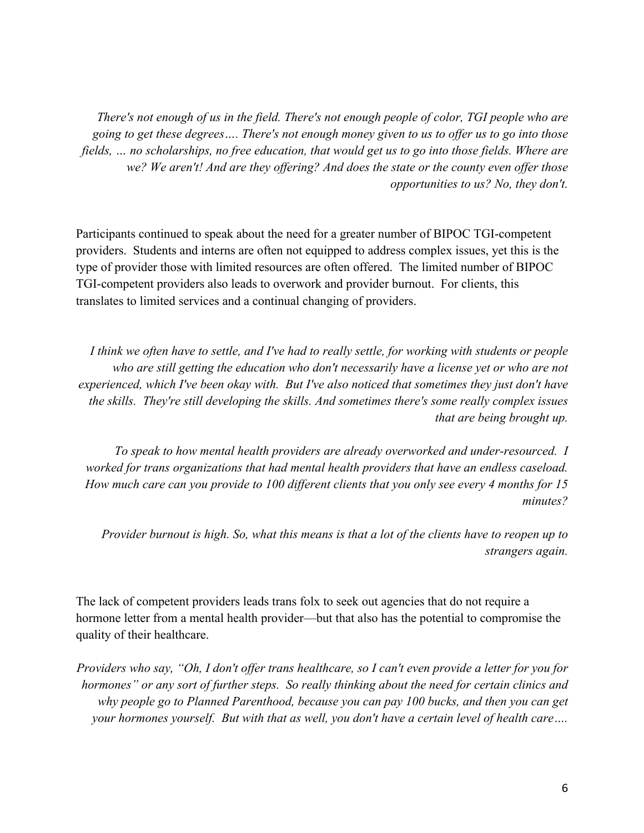*There's not enough of us in the field. There's not enough people of color, TGI people who are going to get these degrees…. There's not enough money given to us to offer us to go into those fields, … no scholarships, no free education, that would get us to go into those fields. Where are we? We aren't! And are they offering? And does the state or the county even offer those opportunities to us? No, they don't.*

Participants continued to speak about the need for a greater number of BIPOC TGI-competent providers. Students and interns are often not equipped to address complex issues, yet this is the type of provider those with limited resources are often offered. The limited number of BIPOC TGI-competent providers also leads to overwork and provider burnout. For clients, this translates to limited services and a continual changing of providers.

*I think we often have to settle, and I've had to really settle, for working with students or people who are still getting the education who don't necessarily have a license yet or who are not experienced, which I've been okay with. But I've also noticed that sometimes they just don't have the skills. They're still developing the skills. And sometimes there's some really complex issues that are being brought up.* 

*To speak to how mental health providers are already overworked and under-resourced. I worked for trans organizations that had mental health providers that have an endless caseload. How much care can you provide to 100 different clients that you only see every 4 months for 15 minutes?*

*Provider burnout is high. So, what this means is that a lot of the clients have to reopen up to strangers again.*

The lack of competent providers leads trans folx to seek out agencies that do not require a hormone letter from a mental health provider—but that also has the potential to compromise the quality of their healthcare.

*Providers who say, "Oh, I don't offer trans healthcare, so I can't even provide a letter for you for hormones" or any sort of further steps. So really thinking about the need for certain clinics and why people go to Planned Parenthood, because you can pay 100 bucks, and then you can get your hormones yourself. But with that as well, you don't have a certain level of health care….*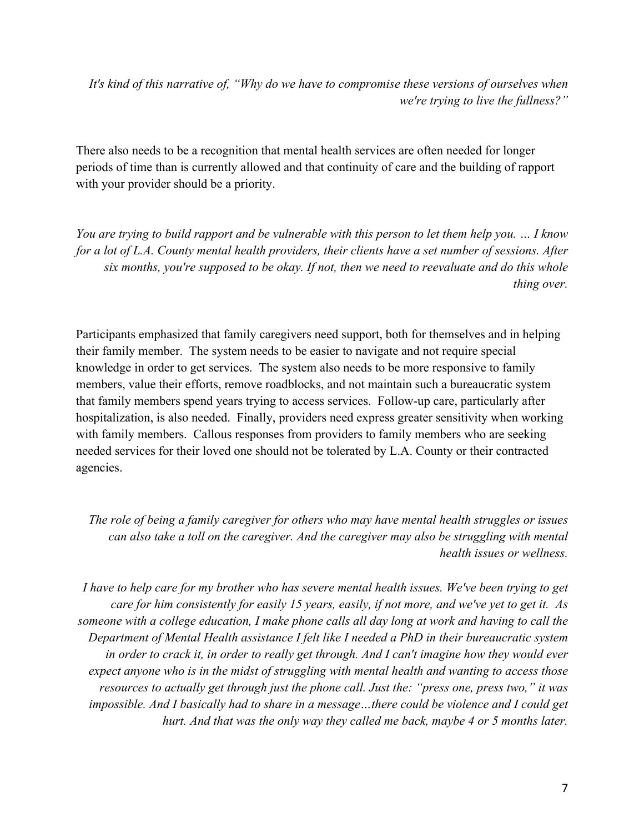*It's kind of this narrative of, "Why do we have to compromise these versions of ourselves when we're trying to live the fullness?"* 

There also needs to be a recognition that mental health services are often needed for longer periods of time than is currently allowed and that continuity of care and the building of rapport with your provider should be a priority.

*You are trying to build rapport and be vulnerable with this person to let them help you. … I know for a lot of L.A. County mental health providers, their clients have a set number of sessions. After six months, you're supposed to be okay. If not, then we need to reevaluate and do this whole thing over.*

Participants emphasized that family caregivers need support, both for themselves and in helping their family member. The system needs to be easier to navigate and not require special knowledge in order to get services. The system also needs to be more responsive to family members, value their efforts, remove roadblocks, and not maintain such a bureaucratic system that family members spend years trying to access services. Follow-up care, particularly after hospitalization, is also needed. Finally, providers need express greater sensitivity when working with family members. Callous responses from providers to family members who are seeking needed services for their loved one should not be tolerated by L.A. County or their contracted agencies.

*The role of being a family caregiver for others who may have mental health struggles or issues can also take a toll on the caregiver. And the caregiver may also be struggling with mental health issues or wellness.*

*I have to help care for my brother who has severe mental health issues. We've been trying to get care for him consistently for easily 15 years, easily, if not more, and we've yet to get it. As someone with a college education, I make phone calls all day long at work and having to call the Department of Mental Health assistance I felt like I needed a PhD in their bureaucratic system in order to crack it, in order to really get through. And I can't imagine how they would ever expect anyone who is in the midst of struggling with mental health and wanting to access those resources to actually get through just the phone call. Just the: "press one, press two," it was impossible. And I basically had to share in a message…there could be violence and I could get hurt. And that was the only way they called me back, maybe 4 or 5 months later.*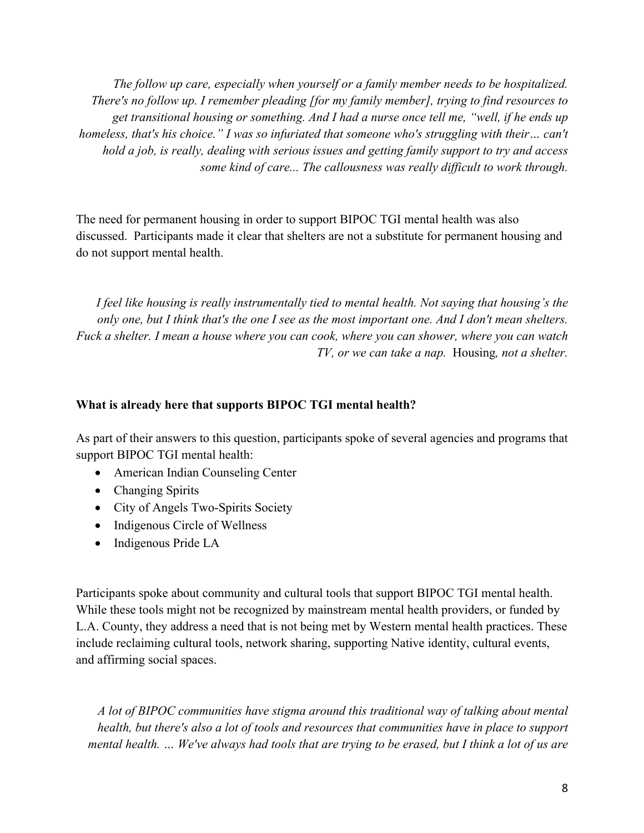*The follow up care, especially when yourself or a family member needs to be hospitalized. There's no follow up. I remember pleading [for my family member], trying to find resources to get transitional housing or something. And I had a nurse once tell me, "well, if he ends up homeless, that's his choice." I was so infuriated that someone who's struggling with their… can't hold a job, is really, dealing with serious issues and getting family support to try and access some kind of care... The callousness was really difficult to work through.* 

The need for permanent housing in order to support BIPOC TGI mental health was also discussed. Participants made it clear that shelters are not a substitute for permanent housing and do not support mental health.

*I feel like housing is really instrumentally tied to mental health. Not saying that housing's the only one, but I think that's the one I see as the most important one. And I don't mean shelters. Fuck a shelter. I mean a house where you can cook, where you can shower, where you can watch TV, or we can take a nap.* Housing*, not a shelter.*

#### **What is already here that supports BIPOC TGI mental health?**

As part of their answers to this question, participants spoke of several agencies and programs that support BIPOC TGI mental health:

- American Indian Counseling Center
- Changing Spirits
- City of Angels Two-Spirits Society
- Indigenous Circle of Wellness
- Indigenous Pride LA

Participants spoke about community and cultural tools that support BIPOC TGI mental health. While these tools might not be recognized by mainstream mental health providers, or funded by L.A. County, they address a need that is not being met by Western mental health practices. These include reclaiming cultural tools, network sharing, supporting Native identity, cultural events, and affirming social spaces.

*A lot of BIPOC communities have stigma around this traditional way of talking about mental health, but there's also a lot of tools and resources that communities have in place to support mental health. … We've always had tools that are trying to be erased, but I think a lot of us are*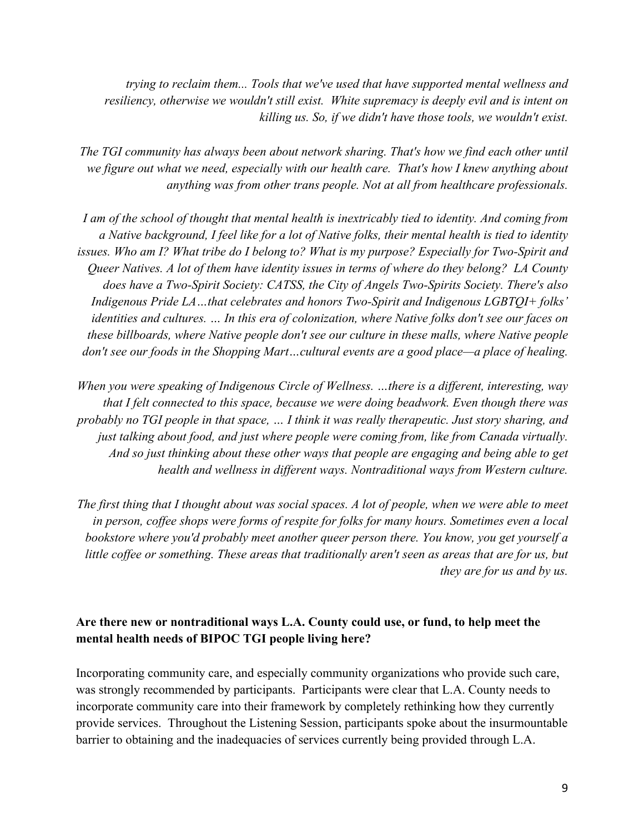*trying to reclaim them... Tools that we've used that have supported mental wellness and resiliency, otherwise we wouldn't still exist. White supremacy is deeply evil and is intent on killing us. So, if we didn't have those tools, we wouldn't exist.* 

*The TGI community has always been about network sharing. That's how we find each other until we figure out what we need, especially with our health care. That's how I knew anything about anything was from other trans people. Not at all from healthcare professionals.*

*I am of the school of thought that mental health is inextricably tied to identity. And coming from a Native background, I feel like for a lot of Native folks, their mental health is tied to identity issues. Who am I? What tribe do I belong to? What is my purpose? Especially for Two-Spirit and Queer Natives. A lot of them have identity issues in terms of where do they belong? LA County does have a Two-Spirit Society: CATSS, the City of Angels Two-Spirits Society. There's also Indigenous Pride LA…that celebrates and honors Two-Spirit and Indigenous LGBTQI+ folks' identities and cultures. … In this era of colonization, where Native folks don't see our faces on these billboards, where Native people don't see our culture in these malls, where Native people don't see our foods in the Shopping Mart…cultural events are a good place—a place of healing.*

*When you were speaking of Indigenous Circle of Wellness. …there is a different, interesting, way that I felt connected to this space, because we were doing beadwork. Even though there was probably no TGI people in that space, … I think it was really therapeutic. Just story sharing, and just talking about food, and just where people were coming from, like from Canada virtually. And so just thinking about these other ways that people are engaging and being able to get health and wellness in different ways. Nontraditional ways from Western culture.* 

*The first thing that I thought about was social spaces. A lot of people, when we were able to meet in person, coffee shops were forms of respite for folks for many hours. Sometimes even a local bookstore where you'd probably meet another queer person there. You know, you get yourself a little coffee or something. These areas that traditionally aren't seen as areas that are for us, but they are for us and by us.*

## **Are there new or nontraditional ways L.A. County could use, or fund, to help meet the mental health needs of BIPOC TGI people living here?**

Incorporating community care, and especially community organizations who provide such care, was strongly recommended by participants. Participants were clear that L.A. County needs to incorporate community care into their framework by completely rethinking how they currently provide services. Throughout the Listening Session, participants spoke about the insurmountable barrier to obtaining and the inadequacies of services currently being provided through L.A.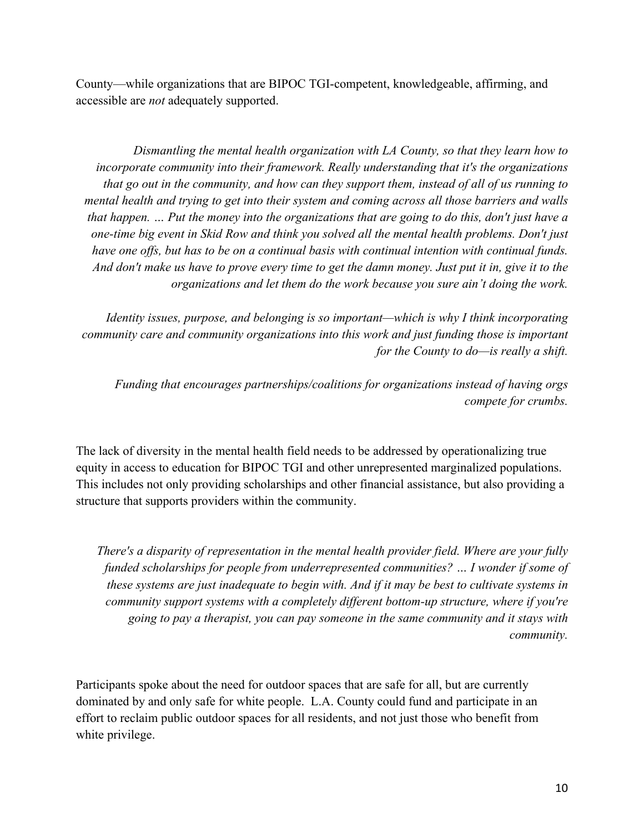County—while organizations that are BIPOC TGI-competent, knowledgeable, affirming, and accessible are *not* adequately supported.

*Dismantling the mental health organization with LA County, so that they learn how to incorporate community into their framework. Really understanding that it's the organizations that go out in the community, and how can they support them, instead of all of us running to mental health and trying to get into their system and coming across all those barriers and walls that happen. … Put the money into the organizations that are going to do this, don't just have a one-time big event in Skid Row and think you solved all the mental health problems. Don't just have one offs, but has to be on a continual basis with continual intention with continual funds. And don't make us have to prove every time to get the damn money. Just put it in, give it to the organizations and let them do the work because you sure ain't doing the work.* 

*Identity issues, purpose, and belonging is so important—which is why I think incorporating community care and community organizations into this work and just funding those is important for the County to do—is really a shift.*

*Funding that encourages partnerships/coalitions for organizations instead of having orgs compete for crumbs.*

The lack of diversity in the mental health field needs to be addressed by operationalizing true equity in access to education for BIPOC TGI and other unrepresented marginalized populations. This includes not only providing scholarships and other financial assistance, but also providing a structure that supports providers within the community.

*There's a disparity of representation in the mental health provider field. Where are your fully funded scholarships for people from underrepresented communities? … I wonder if some of these systems are just inadequate to begin with. And if it may be best to cultivate systems in community support systems with a completely different bottom-up structure, where if you're going to pay a therapist, you can pay someone in the same community and it stays with community.*

Participants spoke about the need for outdoor spaces that are safe for all, but are currently dominated by and only safe for white people. L.A. County could fund and participate in an effort to reclaim public outdoor spaces for all residents, and not just those who benefit from white privilege.